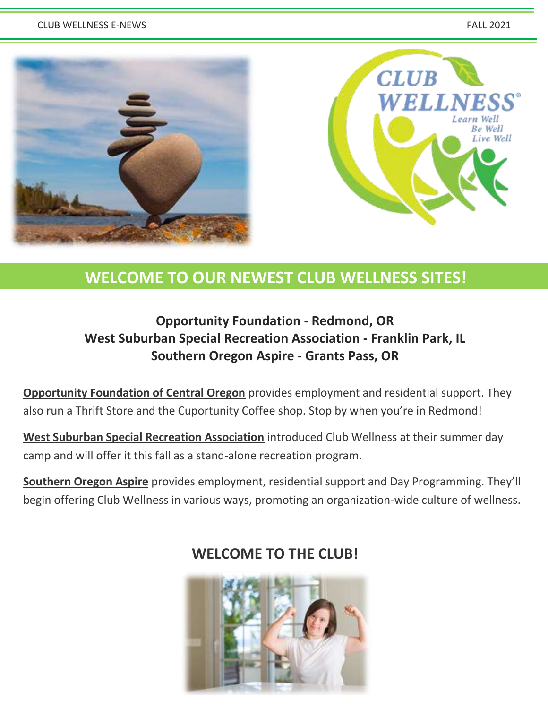#### CLUB WELLNESS E-NEWS FALL 2021





## **WELCOME TO OUR NEWEST CLUB WELLNESS SITES!**

## **Opportunity Foundation - Redmond, OR West Suburban Special Recreation Association - Franklin Park, IL Southern Oregon Aspire - Grants Pass, OR**

**Opportunity Foundation of Central Oregon** provides employment and residential support. They also run a Thrift Store and the Cuportunity Coffee shop. Stop by when you're in Redmond!

**West Suburban Special Recreation Association** introduced Club Wellness at their summer day camp and will offer it this fall as a stand-alone recreation program.

**Southern Oregon Aspire** provides employment, residential support and Day Programming. They'll begin offering Club Wellness in various ways, promoting an organization-wide culture of wellness.



## **WELCOME TO THE CLUB!**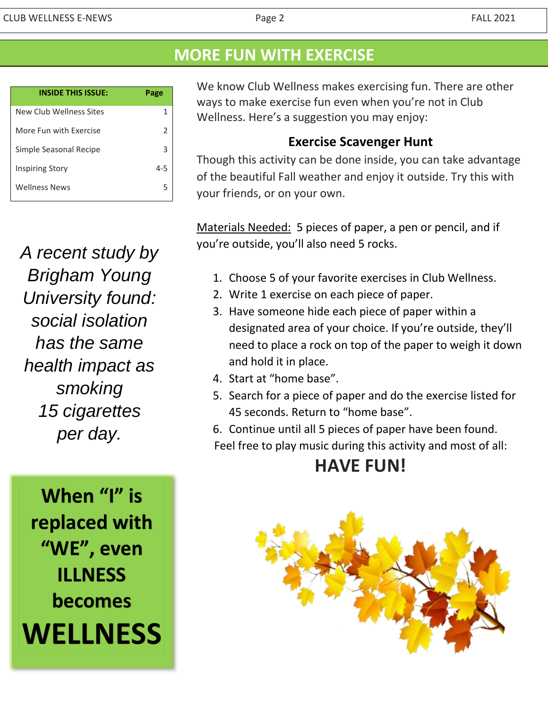**MORE FUN WITH EXERCISE**

| <b>INSIDE THIS ISSUE:</b> | Page    |
|---------------------------|---------|
| New Club Wellness Sites   | 1       |
| More Fun with Exercise    | 2       |
| Simple Seasonal Recipe    | 3       |
| <b>Inspiring Story</b>    | $4 - 5$ |
| <b>Wellness News</b>      | 5       |

*A recent study by Brigham Young University found: social isolation has the same health impact as smoking 15 cigarettes per day.*

**When "I" is replaced with "WE", even ILLNESS becomes WELLNESS** We know Club Wellness makes exercising fun. There are other ways to make exercise fun even when you're not in Club Wellness. Here's a suggestion you may enjoy:

### **Exercise Scavenger Hunt**

Though this activity can be done inside, you can take advantage of the beautiful Fall weather and enjoy it outside. Try this with your friends, or on your own.

Materials Needed: 5 pieces of paper, a pen or pencil, and if you're outside, you'll also need 5 rocks.

- 1. Choose 5 of your favorite exercises in Club Wellness.
- 2. Write 1 exercise on each piece of paper.
- 3. Have someone hide each piece of paper within a designated area of your choice. If you're outside, they'll need to place a rock on top of the paper to weigh it down and hold it in place.
- 4. Start at "home base".
- 5. Search for a piece of paper and do the exercise listed for 45 seconds. Return to "home base".
- 6. Continue until all 5 pieces of paper have been found.

Feel free to play music during this activity and most of all:

# **HAVE FUN!**

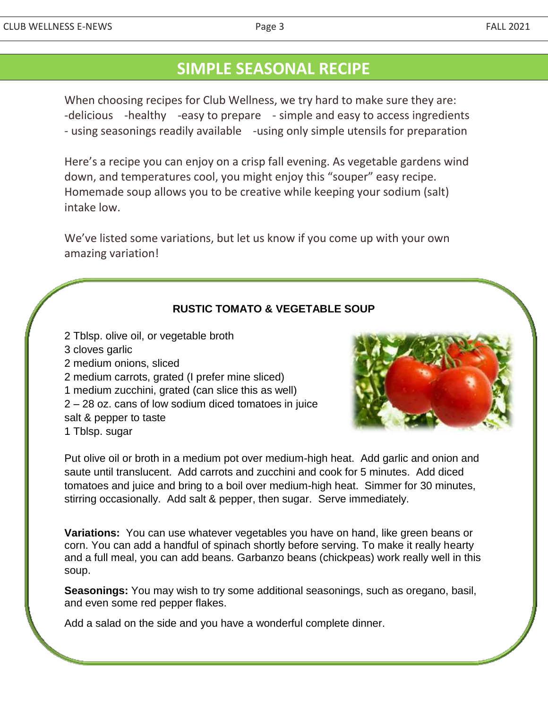## **SIMPLE SEASONAL RECIPE**

When choosing recipes for Club Wellness, we try hard to make sure they are: -delicious -healthy -easy to prepare - simple and easy to access ingredients - using seasonings readily available -using only simple utensils for preparation

Here's a recipe you can enjoy on a crisp fall evening. As vegetable gardens wind down, and temperatures cool, you might enjoy this "souper" easy recipe. Homemade soup allows you to be creative while keeping your sodium (salt) intake low.

We've listed some variations, but let us know if you come up with your own amazing variation!

#### **RUSTIC TOMATO & VEGETABLE SOUP**

2 Tblsp. olive oil, or vegetable broth 3 cloves garlic 2 medium onions, sliced 2 medium carrots, grated (I prefer mine sliced) 1 medium zucchini, grated (can slice this as well) 2 – 28 oz. cans of low sodium diced tomatoes in juice salt & pepper to taste 1 Tblsp. sugar



Put olive oil or broth in a medium pot over medium-high heat. Add garlic and onion and saute until translucent. Add carrots and zucchini and cook for 5 minutes. Add diced tomatoes and juice and bring to a boil over medium-high heat. Simmer for 30 minutes, stirring occasionally. Add salt & pepper, then sugar. Serve immediately.

**Variations:** You can use whatever vegetables you have on hand, like green beans or corn. You can add a handful of spinach shortly before serving. To make it really hearty and a full meal, you can add beans. Garbanzo beans (chickpeas) work really well in this soup.

**Seasonings:** You may wish to try some additional seasonings, such as oregano, basil, and even some red pepper flakes.

Add a salad on the side and you have a wonderful complete dinner.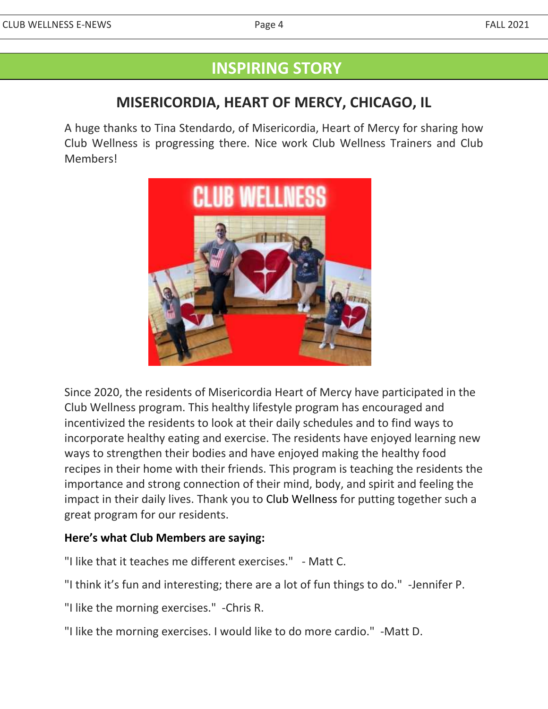## **INSPIRING STORY**

## **MISERICORDIA, HEART OF MERCY, CHICAGO, IL**

A huge thanks to Tina Stendardo, of Misericordia, Heart of Mercy for sharing how Club Wellness is progressing there. Nice work Club Wellness Trainers and Club Members!



Since 2020, the residents of Misericordia Heart of Mercy have participated in the Club Wellness program. This healthy lifestyle program has encouraged and incentivized the residents to look at their daily schedules and to find ways to incorporate healthy eating and exercise. The residents have enjoyed learning new ways to strengthen their bodies and have enjoyed making the healthy food recipes in their home with their friends. This program is teaching the residents the importance and strong connection of their mind, body, and spirit and feeling the impact in their daily lives. Thank you to Club [Wellness](https://www.facebook.com/clubwellnesstraining/?__cft__%5b0%5d=AZXDLgvRQTVjM3DvnMr3Y9RgahzDW2hDMEZHE_DBVhBZ0JPXx0Ly_gcqx0s95Z6ePRAdOX8nxN9KPm1Hn_JMxV-hA3msdjLHMMXgZ4Ee91JCPydZQIrgX6iY3-L7Rqtv1tC92XOplPQqNJ3G4hzffH6d&__tn__=kK-R) for putting together such a great program for our residents.

#### **Here's what Club Members are saying:**

- "I like that it teaches me different exercises." Matt C.
- "I think it's fun and interesting; there are a lot of fun things to do." -Jennifer P.
- "I like the morning exercises." -Chris R.
- "I like the morning exercises. I would like to do more cardio." -Matt D.